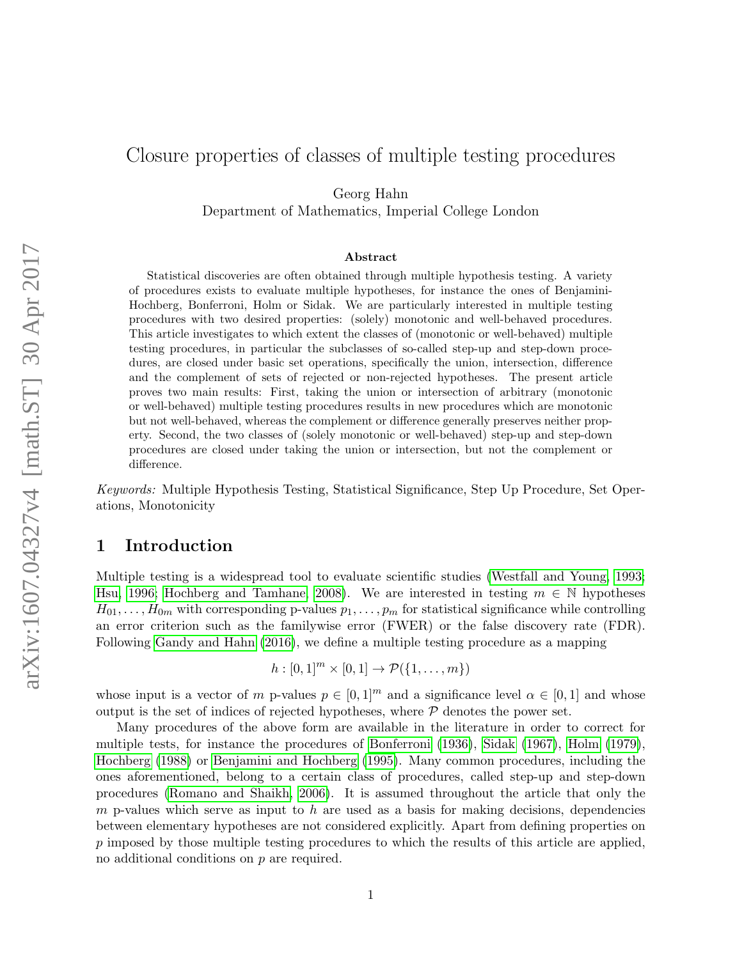# <span id="page-0-0"></span>Closure properties of classes of multiple testing procedures

Georg Hahn

Department of Mathematics, Imperial College London

#### Abstract

Statistical discoveries are often obtained through multiple hypothesis testing. A variety of procedures exists to evaluate multiple hypotheses, for instance the ones of Benjamini-Hochberg, Bonferroni, Holm or Sidak. We are particularly interested in multiple testing procedures with two desired properties: (solely) monotonic and well-behaved procedures. This article investigates to which extent the classes of (monotonic or well-behaved) multiple testing procedures, in particular the subclasses of so-called step-up and step-down procedures, are closed under basic set operations, specifically the union, intersection, difference and the complement of sets of rejected or non-rejected hypotheses. The present article proves two main results: First, taking the union or intersection of arbitrary (monotonic or well-behaved) multiple testing procedures results in new procedures which are monotonic but not well-behaved, whereas the complement or difference generally preserves neither property. Second, the two classes of (solely monotonic or well-behaved) step-up and step-down procedures are closed under taking the union or intersection, but not the complement or difference.

Keywords: Multiple Hypothesis Testing, Statistical Significance, Step Up Procedure, Set Operations, Monotonicity

# 1 Introduction

Multiple testing is a widespread tool to evaluate scientific studies [\(Westfall and Young, 1993;](#page-10-0) [Hsu, 1996;](#page-10-1) [Hochberg and Tamhane, 2008\)](#page-10-2). We are interested in testing  $m \in \mathbb{N}$  hypotheses  $H_{01}, \ldots, H_{0m}$  with corresponding p-values  $p_1, \ldots, p_m$  for statistical significance while controlling an error criterion such as the familywise error (FWER) or the false discovery rate (FDR). Following [Gandy and Hahn](#page-10-3) [\(2016\)](#page-10-3), we define a multiple testing procedure as a mapping

$$
h: [0,1]^m \times [0,1] \to \mathcal{P}(\{1,\ldots,m\})
$$

whose input is a vector of m p-values  $p \in [0,1]^m$  and a significance level  $\alpha \in [0,1]$  and whose output is the set of indices of rejected hypotheses, where  $P$  denotes the power set.

Many procedures of the above form are available in the literature in order to correct for multiple tests, for instance the procedures of [Bonferroni](#page-9-0) [\(1936\)](#page-9-0), [Sidak](#page-10-4) [\(1967\)](#page-10-4), [Holm](#page-10-5) [\(1979\)](#page-10-5), [Hochberg](#page-10-6) [\(1988\)](#page-10-6) or [Benjamini and Hochberg](#page-9-1) [\(1995\)](#page-9-1). Many common procedures, including the ones aforementioned, belong to a certain class of procedures, called step-up and step-down procedures [\(Romano and Shaikh, 2006\)](#page-10-7). It is assumed throughout the article that only the m p-values which serve as input to h are used as a basis for making decisions, dependencies between elementary hypotheses are not considered explicitly. Apart from defining properties on p imposed by those multiple testing procedures to which the results of this article are applied, no additional conditions on p are required.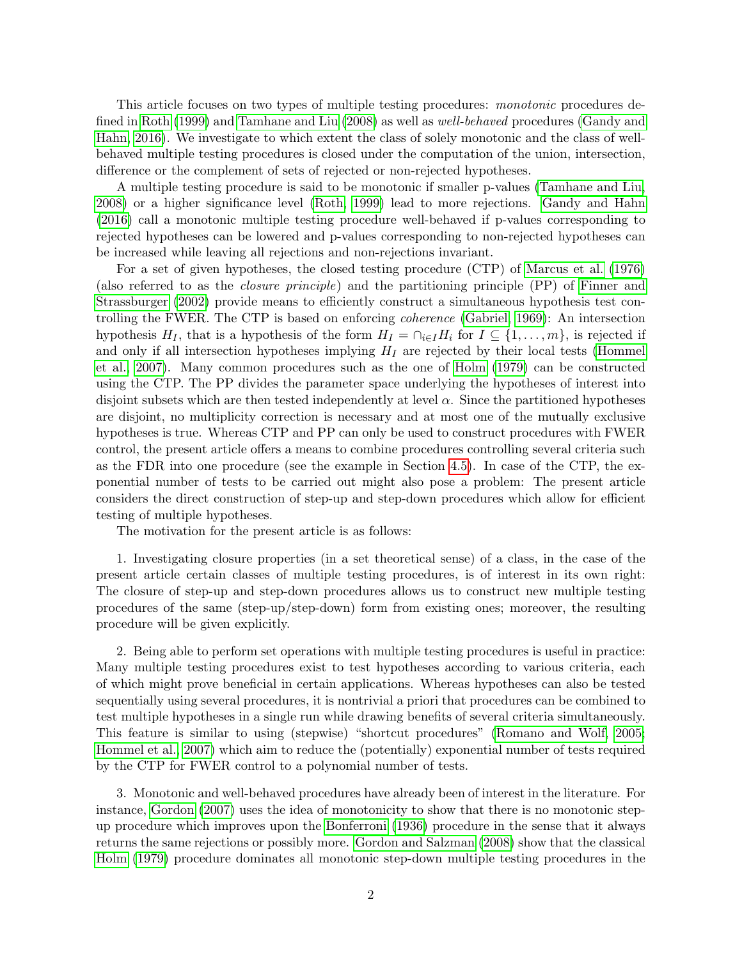This article focuses on two types of multiple testing procedures: monotonic procedures de-fined in [Roth](#page-10-8) [\(1999\)](#page-10-8) and [Tamhane and Liu](#page-10-9) [\(2008\)](#page-10-9) as well as *well-behaved* procedures [\(Gandy and](#page-10-3) [Hahn, 2016\)](#page-10-3). We investigate to which extent the class of solely monotonic and the class of wellbehaved multiple testing procedures is closed under the computation of the union, intersection, difference or the complement of sets of rejected or non-rejected hypotheses.

A multiple testing procedure is said to be monotonic if smaller p-values [\(Tamhane and Liu,](#page-10-9) [2008\)](#page-10-9) or a higher significance level [\(Roth, 1999\)](#page-10-8) lead to more rejections. [Gandy and Hahn](#page-10-3) [\(2016\)](#page-10-3) call a monotonic multiple testing procedure well-behaved if p-values corresponding to rejected hypotheses can be lowered and p-values corresponding to non-rejected hypotheses can be increased while leaving all rejections and non-rejections invariant.

For a set of given hypotheses, the closed testing procedure (CTP) of [Marcus et al.](#page-10-10) [\(1976\)](#page-10-10) (also referred to as the closure principle) and the partitioning principle (PP) of [Finner and](#page-9-2) [Strassburger](#page-9-2) [\(2002\)](#page-9-2) provide means to efficiently construct a simultaneous hypothesis test controlling the FWER. The CTP is based on enforcing coherence [\(Gabriel, 1969\)](#page-9-3): An intersection hypothesis  $H_I$ , that is a hypothesis of the form  $H_I = \bigcap_{i \in I} H_i$  for  $I \subseteq \{1, \ldots, m\}$ , is rejected if and only if all intersection hypotheses implying  $H_I$  are rejected by their local tests [\(Hommel](#page-10-11) [et al., 2007\)](#page-10-11). Many common procedures such as the one of [Holm](#page-10-5) [\(1979\)](#page-10-5) can be constructed using the CTP. The PP divides the parameter space underlying the hypotheses of interest into disjoint subsets which are then tested independently at level  $\alpha$ . Since the partitioned hypotheses are disjoint, no multiplicity correction is necessary and at most one of the mutually exclusive hypotheses is true. Whereas CTP and PP can only be used to construct procedures with FWER control, the present article offers a means to combine procedures controlling several criteria such as the FDR into one procedure (see the example in Section [4.5\)](#page-7-0). In case of the CTP, the exponential number of tests to be carried out might also pose a problem: The present article considers the direct construction of step-up and step-down procedures which allow for efficient testing of multiple hypotheses.

The motivation for the present article is as follows:

1. Investigating closure properties (in a set theoretical sense) of a class, in the case of the present article certain classes of multiple testing procedures, is of interest in its own right: The closure of step-up and step-down procedures allows us to construct new multiple testing procedures of the same (step-up/step-down) form from existing ones; moreover, the resulting procedure will be given explicitly.

2. Being able to perform set operations with multiple testing procedures is useful in practice: Many multiple testing procedures exist to test hypotheses according to various criteria, each of which might prove beneficial in certain applications. Whereas hypotheses can also be tested sequentially using several procedures, it is nontrivial a priori that procedures can be combined to test multiple hypotheses in a single run while drawing benefits of several criteria simultaneously. This feature is similar to using (stepwise) "shortcut procedures" [\(Romano and Wolf, 2005;](#page-10-12) [Hommel et al., 2007\)](#page-10-11) which aim to reduce the (potentially) exponential number of tests required by the CTP for FWER control to a polynomial number of tests.

3. Monotonic and well-behaved procedures have already been of interest in the literature. For instance, [Gordon](#page-10-13) [\(2007\)](#page-10-13) uses the idea of monotonicity to show that there is no monotonic stepup procedure which improves upon the [Bonferroni](#page-9-0) [\(1936\)](#page-9-0) procedure in the sense that it always returns the same rejections or possibly more. [Gordon and Salzman](#page-10-14) [\(2008\)](#page-10-14) show that the classical [Holm](#page-10-5) [\(1979\)](#page-10-5) procedure dominates all monotonic step-down multiple testing procedures in the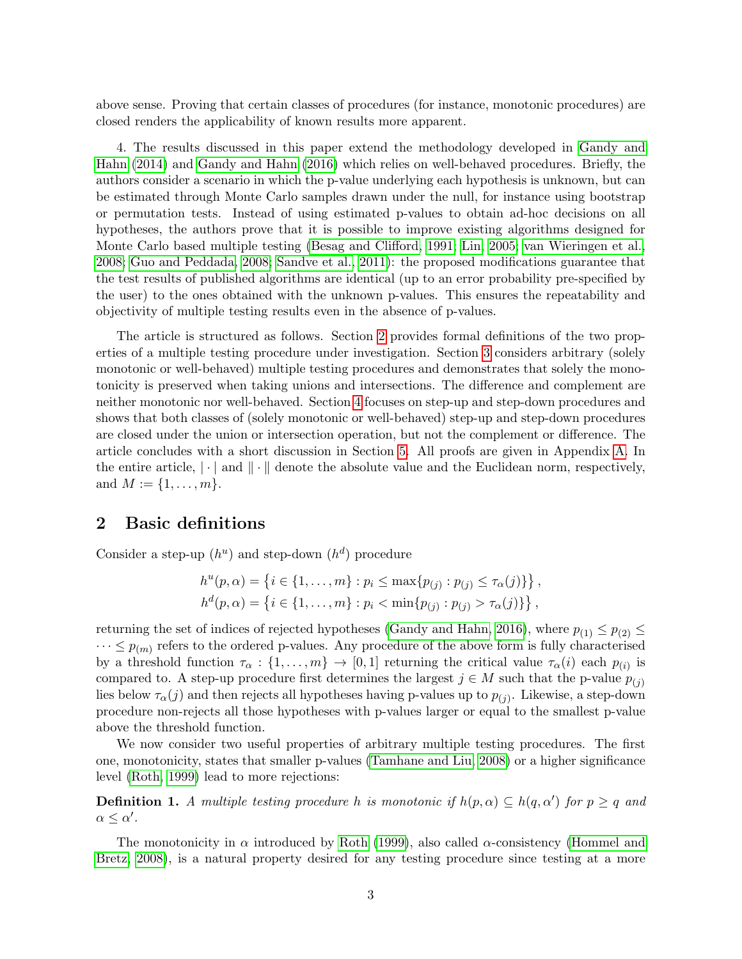above sense. Proving that certain classes of procedures (for instance, monotonic procedures) are closed renders the applicability of known results more apparent.

4. The results discussed in this paper extend the methodology developed in [Gandy and](#page-9-4) [Hahn](#page-9-4) [\(2014\)](#page-9-4) and [Gandy and Hahn](#page-10-3) [\(2016\)](#page-10-3) which relies on well-behaved procedures. Briefly, the authors consider a scenario in which the p-value underlying each hypothesis is unknown, but can be estimated through Monte Carlo samples drawn under the null, for instance using bootstrap or permutation tests. Instead of using estimated p-values to obtain ad-hoc decisions on all hypotheses, the authors prove that it is possible to improve existing algorithms designed for Monte Carlo based multiple testing [\(Besag and Clifford, 1991;](#page-9-5) [Lin, 2005;](#page-10-15) [van Wieringen et al.,](#page-10-16) [2008;](#page-10-16) [Guo and Peddada, 2008;](#page-10-17) [Sandve et al., 2011\)](#page-10-18): the proposed modifications guarantee that the test results of published algorithms are identical (up to an error probability pre-specified by the user) to the ones obtained with the unknown p-values. This ensures the repeatability and objectivity of multiple testing results even in the absence of p-values.

The article is structured as follows. Section [2](#page-2-0) provides formal definitions of the two properties of a multiple testing procedure under investigation. Section [3](#page-3-0) considers arbitrary (solely monotonic or well-behaved) multiple testing procedures and demonstrates that solely the monotonicity is preserved when taking unions and intersections. The difference and complement are neither monotonic nor well-behaved. Section [4](#page-4-0) focuses on step-up and step-down procedures and shows that both classes of (solely monotonic or well-behaved) step-up and step-down procedures are closed under the union or intersection operation, but not the complement or difference. The article concludes with a short discussion in Section [5.](#page-7-1) All proofs are given in Appendix [A.](#page-7-2) In the entire article,  $|\cdot|$  and  $\|\cdot\|$  denote the absolute value and the Euclidean norm, respectively, and  $M := \{1, \ldots, m\}.$ 

## <span id="page-2-0"></span>2 Basic definitions

Consider a step-up  $(h^u)$  and step-down  $(h^d)$  procedure

$$
h^{u}(p,\alpha) = \left\{ i \in \{1, ..., m\} : p_{i} \le \max\{p_{(j)} : p_{(j)} \le \tau_{\alpha}(j)\}\right\},\
$$
  

$$
h^{d}(p,\alpha) = \left\{ i \in \{1, ..., m\} : p_{i} < \min\{p_{(j)} : p_{(j)} > \tau_{\alpha}(j)\}\right\},\
$$

returning the set of indices of rejected hypotheses [\(Gandy and Hahn, 2016\)](#page-10-3), where  $p_{(1)} \leq p_{(2)} \leq$  $\cdots \leq p_{(m)}$  refers to the ordered p-values. Any procedure of the above form is fully characterised by a threshold function  $\tau_{\alpha} : \{1, \ldots, m\} \to [0, 1]$  returning the critical value  $\tau_{\alpha}(i)$  each  $p_{(i)}$  is compared to. A step-up procedure first determines the largest  $j \in M$  such that the p-value  $p_{(i)}$ lies below  $\tau_{\alpha}(j)$  and then rejects all hypotheses having p-values up to  $p_{(j)}$ . Likewise, a step-down procedure non-rejects all those hypotheses with p-values larger or equal to the smallest p-value above the threshold function.

We now consider two useful properties of arbitrary multiple testing procedures. The first one, monotonicity, states that smaller p-values [\(Tamhane and Liu, 2008\)](#page-10-9) or a higher significance level [\(Roth, 1999\)](#page-10-8) lead to more rejections:

**Definition 1.** A multiple testing procedure h is monotonic if  $h(p, \alpha) \subseteq h(q, \alpha')$  for  $p \geq q$  and  $\alpha \leq \alpha'$ .

The monotonicity in  $\alpha$  introduced by [Roth](#page-10-8) [\(1999\)](#page-10-8), also called  $\alpha$ -consistency [\(Hommel and](#page-10-19) [Bretz, 2008\)](#page-10-19), is a natural property desired for any testing procedure since testing at a more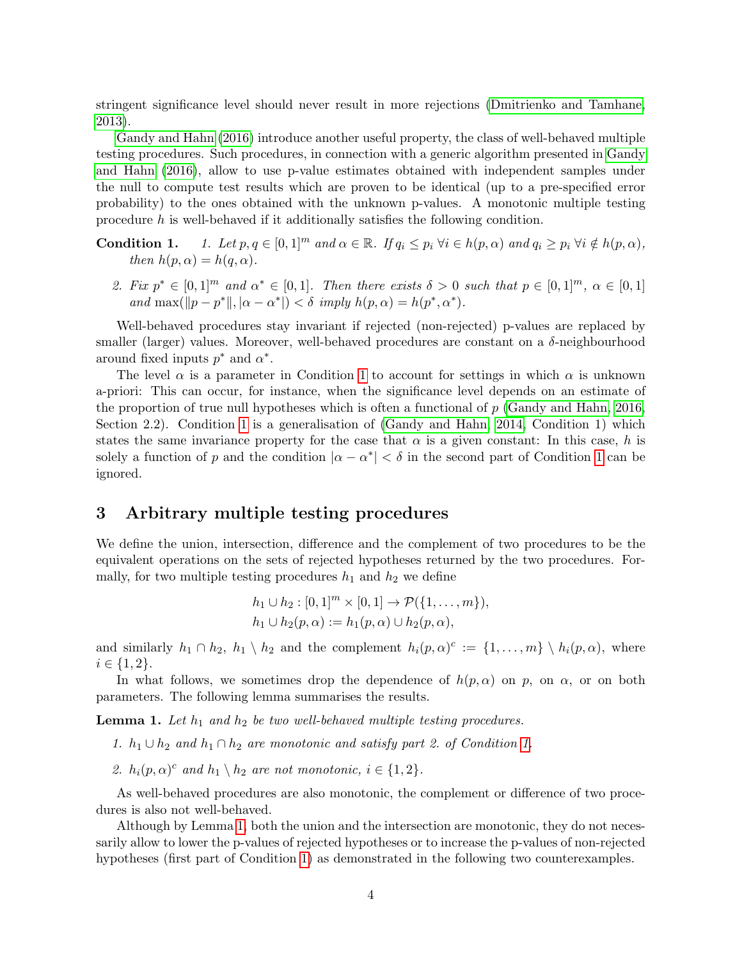stringent significance level should never result in more rejections [\(Dmitrienko and Tamhane,](#page-9-6) [2013\)](#page-9-6).

[Gandy and Hahn](#page-10-3) [\(2016\)](#page-10-3) introduce another useful property, the class of well-behaved multiple testing procedures. Such procedures, in connection with a generic algorithm presented in [Gandy](#page-10-3) [and Hahn](#page-10-3) [\(2016\)](#page-10-3), allow to use p-value estimates obtained with independent samples under the null to compute test results which are proven to be identical (up to a pre-specified error probability) to the ones obtained with the unknown p-values. A monotonic multiple testing procedure h is well-behaved if it additionally satisfies the following condition.

**Condition 1.** 1. Let  $p, q \in [0, 1]^m$  and  $\alpha \in \mathbb{R}$ . If  $q_i \leq p_i \forall i \in h(p, \alpha)$  and  $q_i \geq p_i \forall i \notin h(p, \alpha)$ , then  $h(p, \alpha) = h(q, \alpha)$ .

2. Fix  $p^* \in [0,1]^m$  and  $\alpha^* \in [0,1]$ . Then there exists  $\delta > 0$  such that  $p \in [0,1]^m$ ,  $\alpha \in [0,1]$ and  $\max(\Vert p - p^* \Vert, |\alpha - \alpha^*|) < \delta$  imply  $h(p, \alpha) = h(p^*, \alpha^*).$ 

Well-behaved procedures stay invariant if rejected (non-rejected) p-values are replaced by smaller (larger) values. Moreover, well-behaved procedures are constant on a  $\delta$ -neighbourhood around fixed inputs  $p^*$  and  $\alpha^*$ .

The level  $\alpha$  is a parameter in Condition [1](#page-0-0) to account for settings in which  $\alpha$  is unknown a-priori: This can occur, for instance, when the significance level depends on an estimate of the proportion of true null hypotheses which is often a functional of  $p$  [\(Gandy and Hahn, 2016,](#page-10-3) Section 2.2). Condition [1](#page-0-0) is a generalisation of [\(Gandy and Hahn, 2014,](#page-9-4) Condition 1) which states the same invariance property for the case that  $\alpha$  is a given constant: In this case, h is solely a function of p and the condition  $|\alpha - \alpha^*| < \delta$  in the second part of Condition [1](#page-0-0) can be ignored.

## <span id="page-3-0"></span>3 Arbitrary multiple testing procedures

We define the union, intersection, difference and the complement of two procedures to be the equivalent operations on the sets of rejected hypotheses returned by the two procedures. Formally, for two multiple testing procedures  $h_1$  and  $h_2$  we define

$$
h_1 \cup h_2 : [0,1]^m \times [0,1] \to \mathcal{P}(\{1,\ldots,m\}),
$$
  

$$
h_1 \cup h_2(p,\alpha) := h_1(p,\alpha) \cup h_2(p,\alpha),
$$

and similarly  $h_1 \cap h_2$ ,  $h_1 \setminus h_2$  and the complement  $h_i(p, \alpha)^c := \{1, \ldots, m\} \setminus h_i(p, \alpha)$ , where  $i \in \{1, 2\}.$ 

In what follows, we sometimes drop the dependence of  $h(p, \alpha)$  on p, on  $\alpha$ , or on both parameters. The following lemma summarises the results.

<span id="page-3-1"></span>**Lemma 1.** Let  $h_1$  and  $h_2$  be two well-behaved multiple testing procedures.

1.  $h_1 \cup h_2$  and  $h_1 \cap h_2$  are monotonic and satisfy part 2. of Condition [1.](#page-0-0)

2.  $h_i(p, \alpha)^c$  and  $h_1 \setminus h_2$  are not monotonic,  $i \in \{1, 2\}$ .

As well-behaved procedures are also monotonic, the complement or difference of two procedures is also not well-behaved.

Although by Lemma [1,](#page-3-1) both the union and the intersection are monotonic, they do not necessarily allow to lower the p-values of rejected hypotheses or to increase the p-values of non-rejected hypotheses (first part of Condition [1\)](#page-0-0) as demonstrated in the following two counterexamples.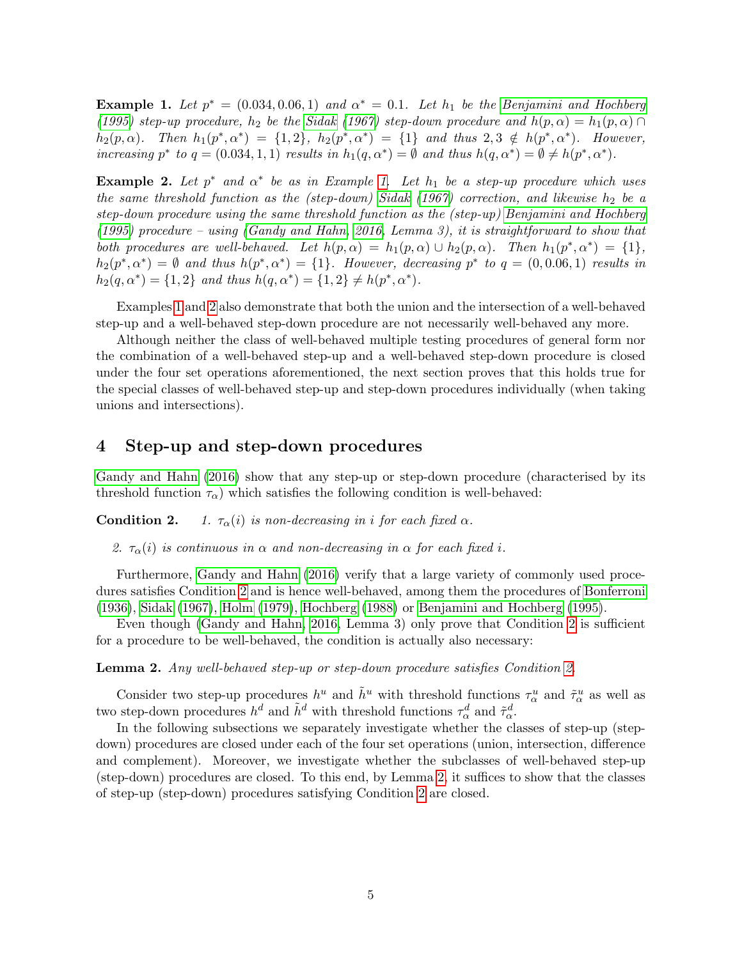<span id="page-4-1"></span>**Example 1.** Let  $p^* = (0.034, 0.06, 1)$  and  $\alpha^* = 0.1$ . Let  $h_1$  be the [Benjamini and Hochberg](#page-9-1) [\(1995\)](#page-9-1) step-up procedure,  $h_2$  be the [Sidak](#page-10-4) [\(1967\)](#page-10-4) step-down procedure and  $h(p, \alpha) = h_1(p, \alpha) \cap$  $h_2(p,\alpha)$ . Then  $h_1(p^*,\alpha^*) = \{1,2\}$ ,  $h_2(p^*,\alpha^*) = \{1\}$  and thus  $2,3 \notin h(p^*,\alpha^*)$ . However, increasing  $p^*$  to  $q = (0.034, 1, 1)$  results in  $h_1(q, \alpha^*) = \emptyset$  and thus  $h(q, \alpha^*) = \emptyset \neq h(p^*, \alpha^*)$ .

<span id="page-4-2"></span>**Example 2.** Let  $p^*$  and  $\alpha^*$  be as in Example [1.](#page-4-1) Let  $h_1$  be a step-up procedure which uses the same threshold function as the (step-down) [Sidak](#page-10-4) [\(1967\)](#page-10-4) correction, and likewise  $h_2$  be a step-down procedure using the same threshold function as the (step-up) [Benjamini and Hochberg](#page-9-1) [\(1995\)](#page-9-1) procedure – using [\(Gandy and Hahn, 2016,](#page-10-3) Lemma 3), it is straightforward to show that both procedures are well-behaved. Let  $h(p, \alpha) = h_1(p, \alpha) \cup h_2(p, \alpha)$ . Then  $h_1(p^*, \alpha^*) = \{1\}$ ,  $h_2(p^*, \alpha^*) = \emptyset$  and thus  $h(p^*, \alpha^*) = \{1\}$ . However, decreasing  $p^*$  to  $q = (0, 0.06, 1)$  results in  $h_2(q, \alpha^*) = \{1, 2\}$  and thus  $h(q, \alpha^*) = \{1, 2\} \neq h(p^*, \alpha^*)$ .

Examples [1](#page-4-1) and [2](#page-4-2) also demonstrate that both the union and the intersection of a well-behaved step-up and a well-behaved step-down procedure are not necessarily well-behaved any more.

Although neither the class of well-behaved multiple testing procedures of general form nor the combination of a well-behaved step-up and a well-behaved step-down procedure is closed under the four set operations aforementioned, the next section proves that this holds true for the special classes of well-behaved step-up and step-down procedures individually (when taking unions and intersections).

## <span id="page-4-0"></span>4 Step-up and step-down procedures

[Gandy and Hahn](#page-10-3) [\(2016\)](#page-10-3) show that any step-up or step-down procedure (characterised by its threshold function  $\tau_{\alpha}$ ) which satisfies the following condition is well-behaved:

**Condition 2.** 1.  $\tau_{\alpha}(i)$  is non-decreasing in i for each fixed  $\alpha$ .

2.  $\tau_{\alpha}(i)$  is continuous in  $\alpha$  and non-decreasing in  $\alpha$  for each fixed i.

Furthermore, [Gandy and Hahn](#page-10-3) [\(2016\)](#page-10-3) verify that a large variety of commonly used procedures satisfies Condition [2](#page-0-0) and is hence well-behaved, among them the procedures of [Bonferroni](#page-9-0) [\(1936\)](#page-9-0), [Sidak](#page-10-4) [\(1967\)](#page-10-4), [Holm](#page-10-5) [\(1979\)](#page-10-5), [Hochberg](#page-10-6) [\(1988\)](#page-10-6) or [Benjamini and Hochberg](#page-9-1) [\(1995\)](#page-9-1).

Even though [\(Gandy and Hahn, 2016,](#page-10-3) Lemma 3) only prove that Condition [2](#page-0-0) is sufficient for a procedure to be well-behaved, the condition is actually also necessary:

<span id="page-4-3"></span>Lemma 2. Any well-behaved step-up or step-down procedure satisfies Condition [2.](#page-0-0)

Consider two step-up procedures  $h^u$  and  $\tilde{h}^u$  with threshold functions  $\tau^u_\alpha$  and  $\tilde{\tau}^u_\alpha$  as well as two step-down procedures  $h^d$  and  $\tilde{h}^d$  with threshold functions  $\tau_\alpha^d$  and  $\tilde{\tau}_\alpha^d$ .

In the following subsections we separately investigate whether the classes of step-up (stepdown) procedures are closed under each of the four set operations (union, intersection, difference and complement). Moreover, we investigate whether the subclasses of well-behaved step-up (step-down) procedures are closed. To this end, by Lemma [2,](#page-4-3) it suffices to show that the classes of step-up (step-down) procedures satisfying Condition [2](#page-0-0) are closed.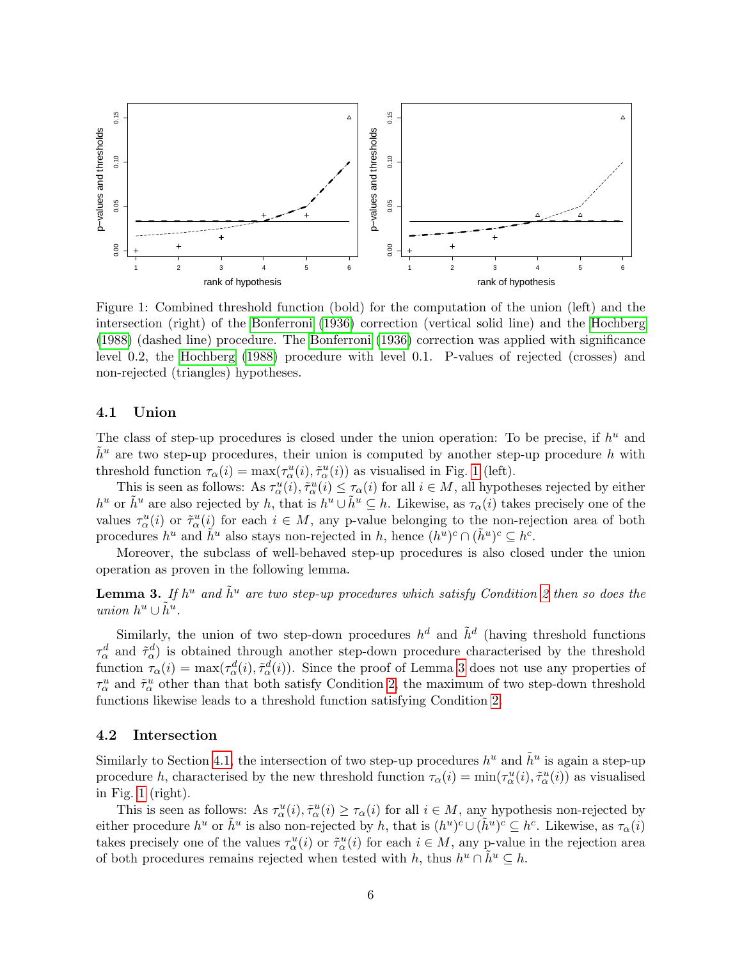<span id="page-5-0"></span>

Figure 1: Combined threshold function (bold) for the computation of the union (left) and the intersection (right) of the [Bonferroni](#page-9-0) [\(1936\)](#page-9-0) correction (vertical solid line) and the [Hochberg](#page-10-6) [\(1988\)](#page-10-6) (dashed line) procedure. The [Bonferroni](#page-9-0) [\(1936\)](#page-9-0) correction was applied with significance level 0.2, the [Hochberg](#page-10-6) [\(1988\)](#page-10-6) procedure with level 0.1. P-values of rejected (crosses) and non-rejected (triangles) hypotheses.

#### <span id="page-5-2"></span>4.1 Union

The class of step-up procedures is closed under the union operation: To be precise, if  $h^u$  and  $h^u$  are two step-up procedures, their union is computed by another step-up procedure h with threshold function  $\tau_{\alpha}(i) = \max(\tau_{\alpha}^u(i), \tilde{\tau}_{\alpha}^u(i))$  as visualised in Fig. [1](#page-5-0) (left).

This is seen as follows: As  $\tau_\alpha^u(i), \tilde{\tau}_\alpha^u(i) \leq \tau_\alpha(i)$  for all  $i \in M$ , all hypotheses rejected by either  $h^u$  or  $\tilde{h}^u$  are also rejected by h, that is  $h^u \cup \tilde{h}^u \subseteq h$ . Likewise, as  $\tau_\alpha(i)$  takes precisely one of the values  $\tau_\alpha^u(i)$  or  $\tilde{\tau}_\alpha^u(i)$  for each  $i \in M$ , any p-value belonging to the non-rejection area of both procedures  $h^u$  and  $\tilde{h}^u$  also stays non-rejected in h, hence  $(h^u)^c \cap (\tilde{h}^u)^c \subseteq h^c$ .

Moreover, the subclass of well-behaved step-up procedures is also closed under the union operation as proven in the following lemma.

<span id="page-5-1"></span>**Lemma 3.** If  $h^u$  and  $\tilde{h}^u$  are two step-up procedures which satisfy Condition [2](#page-0-0) then so does the union  $h^u \cup \tilde{h}^u$ .

Similarly, the union of two step-down procedures  $h^d$  and  $\tilde{h}^d$  (having threshold functions  $\tau_\alpha^d$  and  $\tilde{\tau}_\alpha^d$ ) is obtained through another step-down procedure characterised by the threshold function  $\tau_{\alpha}(i) = \max(\tau_{\alpha}^d(i), \tilde{\tau}_{\alpha}^d(i))$ . Since the proof of Lemma [3](#page-5-1) does not use any properties of  $\tau_\alpha^u$  and  $\tilde{\tau}_\alpha^u$  other than that both satisfy Condition [2,](#page-0-0) the maximum of two step-down threshold functions likewise leads to a threshold function satisfying Condition [2.](#page-0-0)

#### <span id="page-5-3"></span>4.2 Intersection

Similarly to Section [4.1,](#page-5-2) the intersection of two step-up procedures  $h^u$  and  $\tilde{h}^u$  is again a step-up procedure h, characterised by the new threshold function  $\tau_\alpha(i) = \min(\tau_\alpha^u(i), \tilde{\tau}_\alpha^u(i))$  as visualised in Fig. [1](#page-5-0) (right).

This is seen as follows: As  $\tau_\alpha^u(i), \tilde{\tau}_\alpha^u(i) \geq \tau_\alpha(i)$  for all  $i \in M$ , any hypothesis non-rejected by either procedure  $h^u$  or  $\tilde{h}^u$  is also non-rejected by h, that is  $(h^u)^c \cup (\tilde{h}^u)^c \subseteq h^c$ . Likewise, as  $\tau_\alpha(i)$ takes precisely one of the values  $\tau_\alpha^u(i)$  or  $\tilde{\tau}_\alpha^u(i)$  for each  $i \in M$ , any p-value in the rejection area of both procedures remains rejected when tested with h, thus  $h^u \cap \tilde{h}^u \subseteq h$ .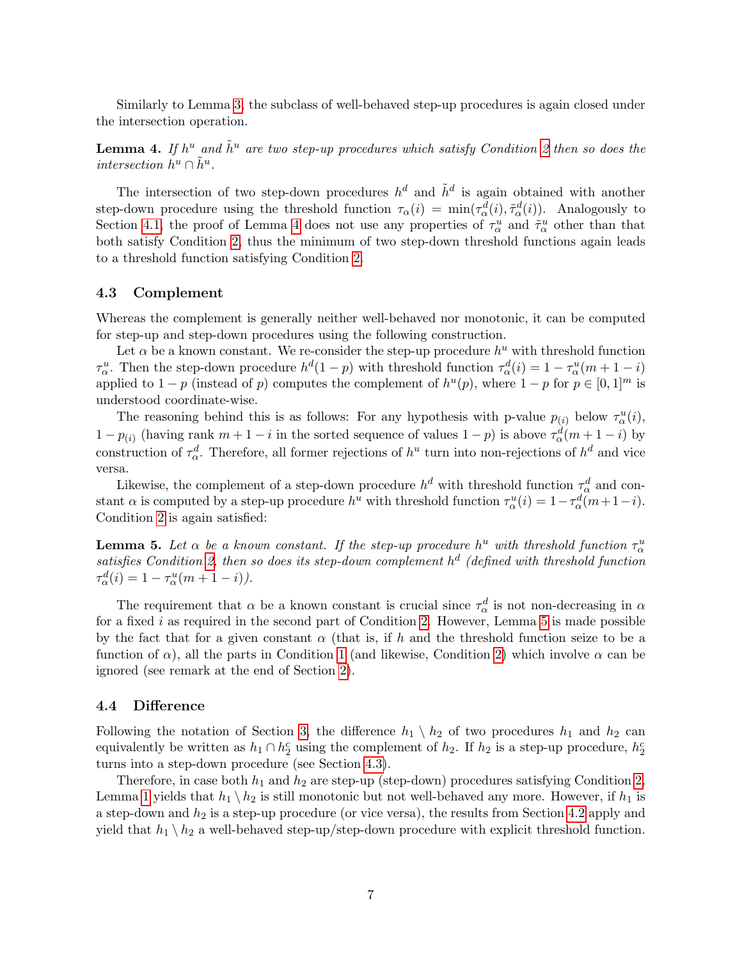Similarly to Lemma [3,](#page-5-1) the subclass of well-behaved step-up procedures is again closed under the intersection operation.

<span id="page-6-0"></span>**Lemma 4.** If  $h^u$  and  $\tilde{h}^u$  are two step-up procedures which satisfy Condition [2](#page-0-0) then so does the intersection  $h^u \cap \tilde{h}^u$ .

The intersection of two step-down procedures  $h^d$  and  $\tilde{h}^d$  is again obtained with another step-down procedure using the threshold function  $\tau_{\alpha}(i) = \min(\tau_{\alpha}^d(i), \tilde{\tau}_{\alpha}^d(i))$ . Analogously to Section [4.1,](#page-5-2) the proof of Lemma [4](#page-6-0) does not use any properties of  $\tau_\alpha^u$  and  $\tilde{\tau}_\alpha^u$  other than that both satisfy Condition [2,](#page-0-0) thus the minimum of two step-down threshold functions again leads to a threshold function satisfying Condition [2.](#page-0-0)

#### <span id="page-6-2"></span>4.3 Complement

Whereas the complement is generally neither well-behaved nor monotonic, it can be computed for step-up and step-down procedures using the following construction.

Let  $\alpha$  be a known constant. We re-consider the step-up procedure  $h^u$  with threshold function  $\tau_\alpha^u$ . Then the step-down procedure  $h^d(1-p)$  with threshold function  $\tau_\alpha^d(i) = 1 - \tau_\alpha^u(m + 1 - i)$ applied to  $1-p$  (instead of p) computes the complement of  $h^u(p)$ , where  $1-p$  for  $p \in [0,1]^m$  is understood coordinate-wise.

The reasoning behind this is as follows: For any hypothesis with p-value  $p_{(i)}$  below  $\tau_\alpha^u(i)$ ,  $1 - p_{(i)}$  (having rank  $m + 1 - i$  in the sorted sequence of values  $1 - p$ ) is above  $\tau_\alpha^d(m + 1 - i)$  by construction of  $\tau_{\alpha}^d$ . Therefore, all former rejections of  $h^u$  turn into non-rejections of  $h^d$  and vice versa.

Likewise, the complement of a step-down procedure  $h^d$  with threshold function  $\tau_\alpha^d$  and constant  $\alpha$  is computed by a step-up procedure  $h^u$  with threshold function  $\tau_\alpha^u(i) = 1 - \tau_\alpha^d(m + 1 - i)$ . Condition [2](#page-0-0) is again satisfied:

<span id="page-6-1"></span>**Lemma 5.** Let  $\alpha$  be a known constant. If the step-up procedure  $h^u$  with threshold function  $\tau^u_\alpha$ satisfies Condition [2,](#page-0-0) then so does its step-down complement  $h^d$  (defined with threshold function  $\tau_{\alpha}^{d}(i) = 1 - \tau_{\alpha}^{u}(m + 1 - i)).$ 

The requirement that  $\alpha$  be a known constant is crucial since  $\tau_{\alpha}^{d}$  is not non-decreasing in  $\alpha$ for a fixed  $i$  as required in the second part of Condition [2.](#page-0-0) However, Lemma [5](#page-6-1) is made possible by the fact that for a given constant  $\alpha$  (that is, if h and the threshold function seize to be a function of  $\alpha$ ), all the parts in Condition [1](#page-0-0) (and likewise, Condition [2\)](#page-0-0) which involve  $\alpha$  can be ignored (see remark at the end of Section [2\)](#page-2-0).

#### 4.4 Difference

Following the notation of Section [3,](#page-3-0) the difference  $h_1 \, \setminus h_2$  of two procedures  $h_1$  and  $h_2$  can equivalently be written as  $h_1 \cap h_2^c$  using the complement of  $h_2$ . If  $h_2$  is a step-up procedure,  $h_2^c$ turns into a step-down procedure (see Section [4.3\)](#page-6-2).

Therefore, in case both  $h_1$  and  $h_2$  are step-up (step-down) procedures satisfying Condition [2,](#page-0-0) Lemma [1](#page-3-1) yields that  $h_1 \setminus h_2$  is still monotonic but not well-behaved any more. However, if  $h_1$  is a step-down and  $h_2$  is a step-up procedure (or vice versa), the results from Section [4.2](#page-5-3) apply and yield that  $h_1 \setminus h_2$  a well-behaved step-up/step-down procedure with explicit threshold function.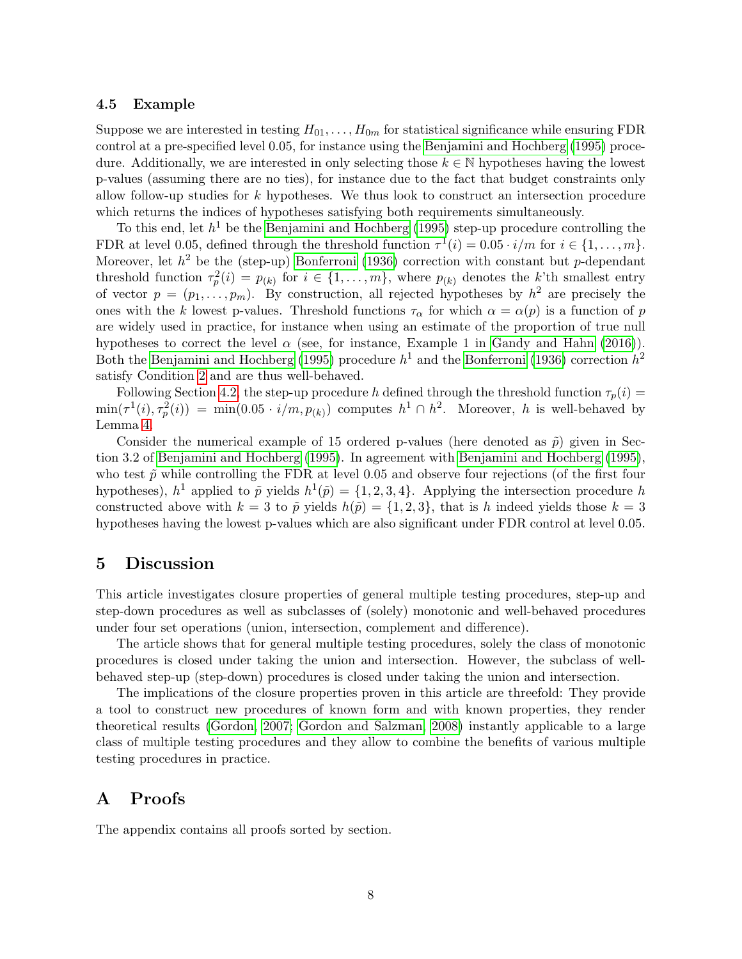#### <span id="page-7-0"></span>4.5 Example

Suppose we are interested in testing  $H_{01}, \ldots, H_{0m}$  for statistical significance while ensuring FDR control at a pre-specified level 0.05, for instance using the [Benjamini and Hochberg](#page-9-1) [\(1995\)](#page-9-1) procedure. Additionally, we are interested in only selecting those  $k \in \mathbb{N}$  hypotheses having the lowest p-values (assuming there are no ties), for instance due to the fact that budget constraints only allow follow-up studies for k hypotheses. We thus look to construct an intersection procedure which returns the indices of hypotheses satisfying both requirements simultaneously.

To this end, let  $h^1$  be the [Benjamini and Hochberg](#page-9-1) [\(1995\)](#page-9-1) step-up procedure controlling the FDR at level 0.05, defined through the threshold function  $\tau^1(i) = 0.05 \cdot i/m$  for  $i \in \{1, \ldots, m\}$ . Moreover, let  $h^2$  be the (step-up) [Bonferroni](#page-9-0) [\(1936\)](#page-9-0) correction with constant but p-dependant threshold function  $\tau_p^2(i) = p_{(k)}$  for  $i \in \{1, ..., m\}$ , where  $p_{(k)}$  denotes the k'th smallest entry of vector  $p = (p_1, \ldots, p_m)$ . By construction, all rejected hypotheses by  $h^2$  are precisely the ones with the k lowest p-values. Threshold functions  $\tau_{\alpha}$  for which  $\alpha = \alpha(p)$  is a function of p are widely used in practice, for instance when using an estimate of the proportion of true null hypotheses to correct the level  $\alpha$  (see, for instance, Example 1 in [Gandy and Hahn](#page-10-3) [\(2016\)](#page-10-3)). Both the [Benjamini and Hochberg](#page-9-1) [\(1995\)](#page-9-1) procedure  $h^1$  and the [Bonferroni](#page-9-0) [\(1936\)](#page-9-0) correction  $h^2$ satisfy Condition [2](#page-0-0) and are thus well-behaved.

Following Section [4.2,](#page-5-3) the step-up procedure h defined through the threshold function  $\tau_p(i)$  $\min(\tau^1(i), \tau^2_p(i)) = \min(0.05 \cdot i/m, p_{(k)})$  computes  $h^1 \cap h^2$ . Moreover, h is well-behaved by Lemma [4.](#page-6-0)

Consider the numerical example of 15 ordered p-values (here denoted as  $\tilde{p}$ ) given in Section 3.2 of [Benjamini and Hochberg](#page-9-1) [\(1995\)](#page-9-1). In agreement with [Benjamini and Hochberg](#page-9-1) [\(1995\)](#page-9-1), who test  $\tilde{p}$  while controlling the FDR at level 0.05 and observe four rejections (of the first four hypotheses),  $h^1$  applied to  $\tilde{p}$  yields  $h^1(\tilde{p}) = \{1, 2, 3, 4\}$ . Applying the intersection procedure h constructed above with  $k = 3$  to  $\tilde{p}$  yields  $h(\tilde{p}) = \{1, 2, 3\}$ , that is h indeed yields those  $k = 3$ hypotheses having the lowest p-values which are also significant under FDR control at level 0.05.

### <span id="page-7-1"></span>5 Discussion

This article investigates closure properties of general multiple testing procedures, step-up and step-down procedures as well as subclasses of (solely) monotonic and well-behaved procedures under four set operations (union, intersection, complement and difference).

The article shows that for general multiple testing procedures, solely the class of monotonic procedures is closed under taking the union and intersection. However, the subclass of wellbehaved step-up (step-down) procedures is closed under taking the union and intersection.

The implications of the closure properties proven in this article are threefold: They provide a tool to construct new procedures of known form and with known properties, they render theoretical results [\(Gordon, 2007;](#page-10-13) [Gordon and Salzman, 2008\)](#page-10-14) instantly applicable to a large class of multiple testing procedures and they allow to combine the benefits of various multiple testing procedures in practice.

## <span id="page-7-2"></span>A Proofs

The appendix contains all proofs sorted by section.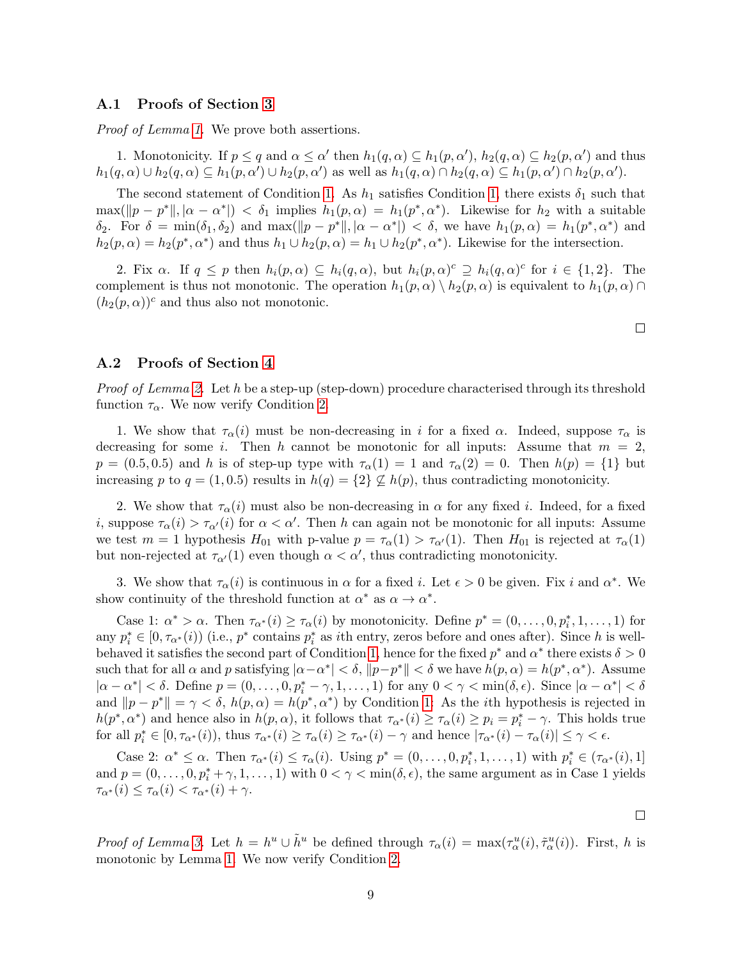#### A.1 Proofs of Section [3](#page-3-0)

*Proof of Lemma [1.](#page-3-1)* We prove both assertions.

1. Monotonicity. If  $p \le q$  and  $\alpha \le \alpha'$  then  $h_1(q, \alpha) \subseteq h_1(p, \alpha')$ ,  $h_2(q, \alpha) \subseteq h_2(p, \alpha')$  and thus  $h_1(q,\alpha) \cup h_2(q,\alpha) \subseteq h_1(p,\alpha') \cup h_2(p,\alpha')$  as well as  $h_1(q,\alpha) \cap h_2(q,\alpha) \subseteq h_1(p,\alpha') \cap h_2(p,\alpha')$ .

The second statement of Condition [1.](#page-0-0) As  $h_1$  satisfies Condition [1,](#page-0-0) there exists  $\delta_1$  such that  $\max(||p - p^*||, |\alpha - \alpha^*|) < \delta_1$  implies  $h_1(p, \alpha) = h_1(p^*, \alpha^*)$ . Likewise for  $h_2$  with a suitable  $\delta_2$ . For  $\delta = \min(\delta_1, \delta_2)$  and  $\max(||p - p^*||, |\alpha - \alpha^*|) < \delta$ , we have  $h_1(p, \alpha) = h_1(p^*, \alpha^*)$  and  $h_2(p,\alpha) = h_2(p^*,\alpha^*)$  and thus  $h_1 \cup h_2(p,\alpha) = h_1 \cup h_2(p^*,\alpha^*)$ . Likewise for the intersection.

2. Fix  $\alpha$ . If  $q \leq p$  then  $h_i(p, \alpha) \subseteq h_i(q, \alpha)$ , but  $h_i(p, \alpha)^c \supseteq h_i(q, \alpha)^c$  for  $i \in \{1, 2\}$ . The complement is thus not monotonic. The operation  $h_1(p, \alpha) \setminus h_2(p, \alpha)$  is equivalent to  $h_1(p, \alpha) \cap$  $(h_2(p, \alpha))^c$  and thus also not monotonic.

A.2 Proofs of Section [4](#page-4-0)

*Proof of Lemma [2.](#page-4-3)* Let h be a step-up (step-down) procedure characterised through its threshold function  $\tau_{\alpha}$ . We now verify Condition [2.](#page-0-0)

1. We show that  $\tau_{\alpha}(i)$  must be non-decreasing in i for a fixed  $\alpha$ . Indeed, suppose  $\tau_{\alpha}$  is decreasing for some i. Then h cannot be monotonic for all inputs: Assume that  $m = 2$ ,  $p = (0.5, 0.5)$  and h is of step-up type with  $\tau_{\alpha}(1) = 1$  and  $\tau_{\alpha}(2) = 0$ . Then  $h(p) = \{1\}$  but increasing p to  $q = (1, 0.5)$  results in  $h(q) = \{2\} \nsubseteq h(p)$ , thus contradicting monotonicity.

2. We show that  $\tau_{\alpha}(i)$  must also be non-decreasing in  $\alpha$  for any fixed i. Indeed, for a fixed *i*, suppose  $\tau_{\alpha}(i) > \tau_{\alpha}(i)$  for  $\alpha < \alpha'$ . Then h can again not be monotonic for all inputs: Assume we test  $m = 1$  hypothesis  $H_{01}$  with p-value  $p = \tau_{\alpha}(1) > \tau_{\alpha'}(1)$ . Then  $H_{01}$  is rejected at  $\tau_{\alpha}(1)$ but non-rejected at  $\tau_{\alpha'}(1)$  even though  $\alpha < \alpha'$ , thus contradicting monotonicity.

3. We show that  $\tau_{\alpha}(i)$  is continuous in  $\alpha$  for a fixed i. Let  $\epsilon > 0$  be given. Fix i and  $\alpha^*$ . We show continuity of the threshold function at  $\alpha^*$  as  $\alpha \to \alpha^*$ .

Case 1:  $\alpha^* > \alpha$ . Then  $\tau_{\alpha^*}(i) \ge \tau_{\alpha}(i)$  by monotonicity. Define  $p^* = (0, \ldots, 0, p_i^*, 1, \ldots, 1)$  for any  $p_i^* \in [0, \tau_{\alpha^*}(i))$  (i.e.,  $p^*$  contains  $p_i^*$  as *i*th entry, zeros before and ones after). Since h is well-behaved it satisfies the second part of Condition [1,](#page-0-0) hence for the fixed  $p^*$  and  $\alpha^*$  there exists  $\delta > 0$ such that for all  $\alpha$  and  $p$  satisfying  $|\alpha-\alpha^*| < \delta$ ,  $||p-p^*|| < \delta$  we have  $h(p,\alpha) = h(p^*,\alpha^*)$ . Assume  $|\alpha - \alpha^*| < \delta$ . Define  $p = (0, \ldots, 0, p_i^* - \gamma, 1, \ldots, 1)$  for any  $0 < \gamma < \min(\delta, \epsilon)$ . Since  $|\alpha - \alpha^*| < \delta$ and  $||p - p^*|| = \gamma < \delta$ ,  $h(p, \alpha) = h(p^*, \alpha^*)$  by Condition [1:](#page-0-0) As the *i*th hypothesis is rejected in  $h(p^*, \alpha^*)$  and hence also in  $h(p, \alpha)$ , it follows that  $\tau_{\alpha^*}(i) \geq \tau_{\alpha}(i) \geq p_i = p_i^* - \gamma$ . This holds true for all  $p_i^* \in [0, \tau_{\alpha^*}(i))$ , thus  $\tau_{\alpha^*}(i) \geq \tau_{\alpha}(i) \geq \tau_{\alpha^*}(i) - \gamma$  and hence  $|\tau_{\alpha^*}(i) - \tau_{\alpha}(i)| \leq \gamma < \epsilon$ .

Case 2:  $\alpha^* \leq \alpha$ . Then  $\tau_{\alpha^*}(i) \leq \tau_{\alpha}(i)$ . Using  $p^* = (0, \ldots, 0, p_i^*, 1, \ldots, 1)$  with  $p_i^* \in (\tau_{\alpha^*}(i), 1]$ and  $p = (0, \ldots, 0, p_i^* + \gamma, 1, \ldots, 1)$  with  $0 < \gamma < \min(\delta, \epsilon)$ , the same argument as in Case 1 yields  $\tau_{\alpha^*}(i) \leq \tau_{\alpha}(i) < \tau_{\alpha^*}(i) + \gamma.$ 

Proof of Lemma [3.](#page-5-1) Let  $h = h^u \cup \tilde{h}^u$  be defined through  $\tau_\alpha(i) = \max(\tau_\alpha^u(i), \tilde{\tau}_\alpha^u(i))$ . First, h is monotonic by Lemma [1.](#page-3-1) We now verify Condition [2.](#page-0-0)

 $\Box$ 

 $\Box$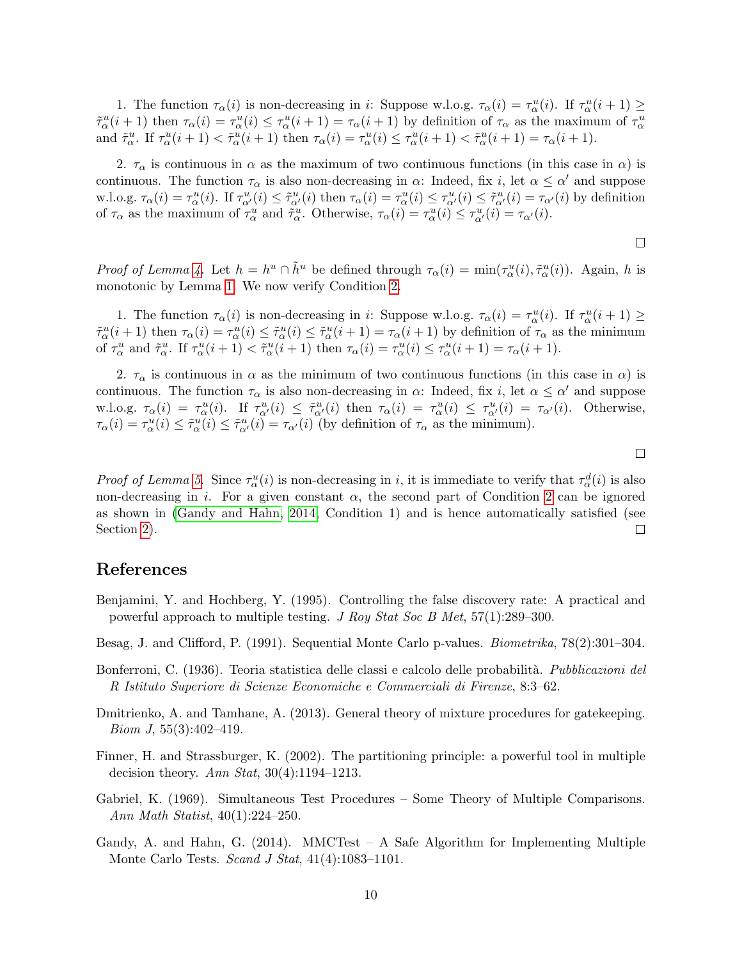1. The function  $\tau_{\alpha}(i)$  is non-decreasing in *i*: Suppose w.l.o.g.  $\tau_{\alpha}(i) = \tau_{\alpha}^u(i)$ . If  $\tau_{\alpha}^u(i+1) \geq$  $\tilde{\tau}_{\alpha}^{u}(i+1)$  then  $\tau_{\alpha}(i) = \tau_{\alpha}^{u}(i) \leq \tau_{\alpha}^{u}(i+1) = \tau_{\alpha}(i+1)$  by definition of  $\tau_{\alpha}$  as the maximum of  $\tau_{\alpha}^{u}$ and  $\tilde{\tau}_{\alpha}^u$ . If  $\tau_{\alpha}^u(i+1) < \tilde{\tau}_{\alpha}^u(i+1)$  then  $\tau_{\alpha}(i) = \tau_{\alpha}^u(i) \leq \tau_{\alpha}^u(i+1) < \tilde{\tau}_{\alpha}^u(i+1) = \tau_{\alpha}(i+1)$ .

2.  $\tau_{\alpha}$  is continuous in  $\alpha$  as the maximum of two continuous functions (in this case in  $\alpha$ ) is continuous. The function  $\tau_{\alpha}$  is also non-decreasing in  $\alpha$ : Indeed, fix *i*, let  $\alpha \leq \alpha'$  and suppose w.l.o.g.  $\tau_{\alpha}(i) = \tau_{\alpha}^u(i)$ . If  $\tau_{\alpha'}^u(i) \leq \tilde{\tau}_{\alpha'}^u(i)$  then  $\tau_{\alpha}(i) = \tau_{\alpha'}^u(i) \leq \tau_{\alpha'}^u(i) \leq \tilde{\tau}_{\alpha'}^u(i) = \tau_{\alpha'}(i)$  by definition of  $\tau_{\alpha}$  as the maximum of  $\tau_{\alpha}^{u}$  and  $\tilde{\tau}_{\alpha}^{u}$ . Otherwise,  $\tau_{\alpha}(i) = \tau_{\alpha}^{u}(i) \leq \tau_{\alpha'}^{u}(i) = \tau_{\alpha'}(i)$ .

 $\Box$ 

*Proof of Lemma [4.](#page-6-0)* Let  $h = h^u \cap \tilde{h}^u$  be defined through  $\tau_\alpha(i) = \min(\tau_\alpha^u(i), \tilde{\tau}_\alpha^u(i))$ . Again, h is monotonic by Lemma [1.](#page-3-1) We now verify Condition [2.](#page-0-0)

1. The function  $\tau_{\alpha}(i)$  is non-decreasing in *i*: Suppose w.l.o.g.  $\tau_{\alpha}(i) = \tau_{\alpha}^u(i)$ . If  $\tau_{\alpha}^u(i+1) \geq$  $\tilde{\tau}_{\alpha}^u(i+1)$  then  $\tau_{\alpha}(i) = \tau_{\alpha}^u(i) \leq \tilde{\tau}_{\alpha}^u(i+1) = \tau_{\alpha}(i+1)$  by definition of  $\tau_{\alpha}$  as the minimum of  $\tau_\alpha^u$  and  $\tilde{\tau}_\alpha^u$ . If  $\tau_\alpha^u(i+1) < \tilde{\tau}_\alpha^u(i+1)$  then  $\tau_\alpha(i) = \tau_\alpha^u(i) \leq \tau_\alpha^u(i+1) = \tau_\alpha(i+1)$ .

2.  $\tau_{\alpha}$  is continuous in  $\alpha$  as the minimum of two continuous functions (in this case in  $\alpha$ ) is continuous. The function  $\tau_{\alpha}$  is also non-decreasing in  $\alpha$ : Indeed, fix *i*, let  $\alpha \leq \alpha'$  and suppose w.l.o.g.  $\tau_{\alpha}(i) = \tau_{\alpha}^u(i)$ . If  $\tau_{\alpha'}^u(i) \leq \tilde{\tau}_{\alpha'}^u(i)$  then  $\tau_{\alpha}(i) = \tau_{\alpha'}^u(i) \leq \tau_{\alpha'}^u(i) = \tau_{\alpha'}(i)$ . Otherwise,  $\tau_{\alpha}(i) = \tau_{\alpha}^{u}(i) \leq \tilde{\tau}_{\alpha}^{u}(i) \leq \tilde{\tau}_{\alpha'}^{u}(i) = \tau_{\alpha'}(i)$  (by definition of  $\tau_{\alpha}$  as the minimum).

Proof of Lemma [5.](#page-6-1) Since  $\tau_\alpha^u(i)$  is non-decreasing in i, it is immediate to verify that  $\tau_\alpha^d(i)$  is also non-decreasing in i. For a given constant  $\alpha$ , the second part of Condition [2](#page-0-0) can be ignored as shown in [\(Gandy and Hahn, 2014,](#page-9-4) Condition 1) and is hence automatically satisfied (see Section [2\)](#page-2-0).  $\Box$ 

### References

- <span id="page-9-1"></span>Benjamini, Y. and Hochberg, Y. (1995). Controlling the false discovery rate: A practical and powerful approach to multiple testing. J Roy Stat Soc B Met, 57(1):289–300.
- <span id="page-9-5"></span>Besag, J. and Clifford, P. (1991). Sequential Monte Carlo p-values. Biometrika, 78(2):301–304.
- <span id="page-9-0"></span>Bonferroni, C. (1936). Teoria statistica delle classi e calcolo delle probabilità. Pubblicazioni del R Istituto Superiore di Scienze Economiche e Commerciali di Firenze, 8:3–62.
- <span id="page-9-6"></span>Dmitrienko, A. and Tamhane, A. (2013). General theory of mixture procedures for gatekeeping. *Biom J*,  $55(3):402-419$ .
- <span id="page-9-2"></span>Finner, H. and Strassburger, K. (2002). The partitioning principle: a powerful tool in multiple decision theory. Ann Stat,  $30(4):1194-1213$ .
- <span id="page-9-3"></span>Gabriel, K. (1969). Simultaneous Test Procedures – Some Theory of Multiple Comparisons. Ann Math Statist, 40(1):224–250.
- <span id="page-9-4"></span>Gandy, A. and Hahn, G.  $(2014)$ . MMCTest – A Safe Algorithm for Implementing Multiple Monte Carlo Tests. Scand J Stat, 41(4):1083-1101.

 $\Box$